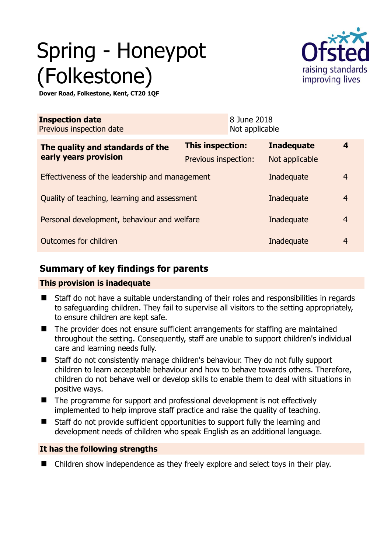# Spring - Honeypot (Folkestone)



**Dover Road, Folkestone, Kent, CT20 1QF** 

| <b>Inspection date</b><br>Previous inspection date        |                         | 8 June 2018<br>Not applicable |                  |
|-----------------------------------------------------------|-------------------------|-------------------------------|------------------|
| The quality and standards of the<br>early years provision | <b>This inspection:</b> | <b>Inadequate</b>             | $\boldsymbol{4}$ |
|                                                           | Previous inspection:    | Not applicable                |                  |
| Effectiveness of the leadership and management            | Inadequate              | $\overline{4}$                |                  |
| Quality of teaching, learning and assessment              | Inadequate              | $\overline{4}$                |                  |
| Personal development, behaviour and welfare               | Inadequate              | $\overline{4}$                |                  |
| Outcomes for children<br>Inadequate                       |                         |                               | $\overline{4}$   |

## **Summary of key findings for parents**

#### **This provision is inadequate**

- Staff do not have a suitable understanding of their roles and responsibilities in regards to safeguarding children. They fail to supervise all visitors to the setting appropriately, to ensure children are kept safe.
- The provider does not ensure sufficient arrangements for staffing are maintained throughout the setting. Consequently, staff are unable to support children's individual care and learning needs fully.
- Staff do not consistently manage children's behaviour. They do not fully support children to learn acceptable behaviour and how to behave towards others. Therefore, children do not behave well or develop skills to enable them to deal with situations in positive ways.
- The programme for support and professional development is not effectively implemented to help improve staff practice and raise the quality of teaching.
- Staff do not provide sufficient opportunities to support fully the learning and development needs of children who speak English as an additional language.

### **It has the following strengths**

■ Children show independence as they freely explore and select toys in their play.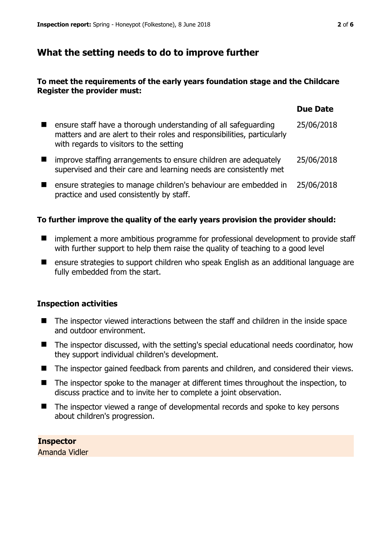## **What the setting needs to do to improve further**

#### **To meet the requirements of the early years foundation stage and the Childcare Register the provider must:**

|                                                                                                                                                                                      | <b>Due Date</b> |
|--------------------------------------------------------------------------------------------------------------------------------------------------------------------------------------|-----------------|
| ensure staff have a thorough understanding of all safeguarding<br>matters and are alert to their roles and responsibilities, particularly<br>with regards to visitors to the setting | 25/06/2018      |
| improve staffing arrangements to ensure children are adequately<br>supervised and their care and learning needs are consistently met                                                 | 25/06/2018      |
| ensure strategies to manage children's behaviour are embedded in<br>practice and used consistently by staff.                                                                         | 25/06/2018      |

#### **To further improve the quality of the early years provision the provider should:**

- **IDED** implement a more ambitious programme for professional development to provide staff with further support to help them raise the quality of teaching to a good level
- ensure strategies to support children who speak English as an additional language are fully embedded from the start.

#### **Inspection activities**

- The inspector viewed interactions between the staff and children in the inside space and outdoor environment.
- The inspector discussed, with the setting's special educational needs coordinator, how they support individual children's development.
- The inspector gained feedback from parents and children, and considered their views.
- The inspector spoke to the manager at different times throughout the inspection, to discuss practice and to invite her to complete a joint observation.
- The inspector viewed a range of developmental records and spoke to key persons about children's progression.

#### **Inspector**

Amanda Vidler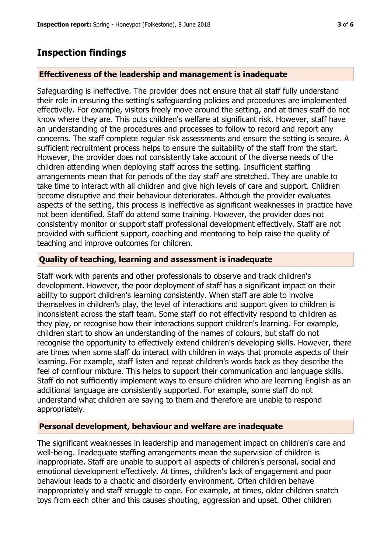## **Inspection findings**

#### **Effectiveness of the leadership and management is inadequate**

Safeguarding is ineffective. The provider does not ensure that all staff fully understand their role in ensuring the setting's safeguarding policies and procedures are implemented effectively. For example, visitors freely move around the setting, and at times staff do not know where they are. This puts children's welfare at significant risk. However, staff have an understanding of the procedures and processes to follow to record and report any concerns. The staff complete regular risk assessments and ensure the setting is secure. A sufficient recruitment process helps to ensure the suitability of the staff from the start. However, the provider does not consistently take account of the diverse needs of the children attending when deploying staff across the setting. Insufficient staffing arrangements mean that for periods of the day staff are stretched. They are unable to take time to interact with all children and give high levels of care and support. Children become disruptive and their behaviour deteriorates. Although the provider evaluates aspects of the setting, this process is ineffective as significant weaknesses in practice have not been identified. Staff do attend some training. However, the provider does not consistently monitor or support staff professional development effectively. Staff are not provided with sufficient support, coaching and mentoring to help raise the quality of teaching and improve outcomes for children.

#### **Quality of teaching, learning and assessment is inadequate**

Staff work with parents and other professionals to observe and track children's development. However, the poor deployment of staff has a significant impact on their ability to support children's learning consistently. When staff are able to involve themselves in children's play, the level of interactions and support given to children is inconsistent across the staff team. Some staff do not effectivity respond to children as they play, or recognise how their interactions support children's learning. For example, children start to show an understanding of the names of colours, but staff do not recognise the opportunity to effectively extend children's developing skills. However, there are times when some staff do interact with children in ways that promote aspects of their learning. For example, staff listen and repeat children's words back as they describe the feel of cornflour mixture. This helps to support their communication and language skills. Staff do not sufficiently implement ways to ensure children who are learning English as an additional language are consistently supported. For example, some staff do not understand what children are saying to them and therefore are unable to respond appropriately.

#### **Personal development, behaviour and welfare are inadequate**

The significant weaknesses in leadership and management impact on children's care and well-being. Inadequate staffing arrangements mean the supervision of children is inappropriate. Staff are unable to support all aspects of children's personal, social and emotional development effectively. At times, children's lack of engagement and poor behaviour leads to a chaotic and disorderly environment. Often children behave inappropriately and staff struggle to cope. For example, at times, older children snatch toys from each other and this causes shouting, aggression and upset. Other children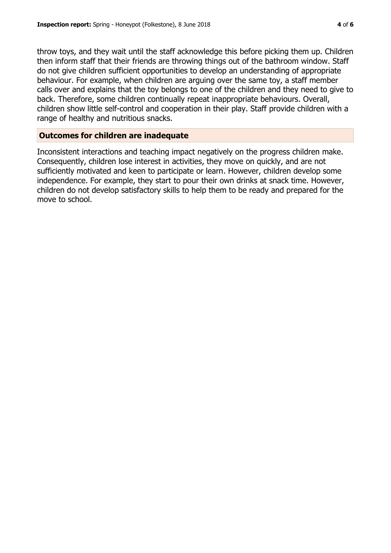throw toys, and they wait until the staff acknowledge this before picking them up. Children then inform staff that their friends are throwing things out of the bathroom window. Staff do not give children sufficient opportunities to develop an understanding of appropriate behaviour. For example, when children are arguing over the same toy, a staff member calls over and explains that the toy belongs to one of the children and they need to give to back. Therefore, some children continually repeat inappropriate behaviours. Overall, children show little self-control and cooperation in their play. Staff provide children with a range of healthy and nutritious snacks.

#### **Outcomes for children are inadequate**

Inconsistent interactions and teaching impact negatively on the progress children make. Consequently, children lose interest in activities, they move on quickly, and are not sufficiently motivated and keen to participate or learn. However, children develop some independence. For example, they start to pour their own drinks at snack time. However, children do not develop satisfactory skills to help them to be ready and prepared for the move to school.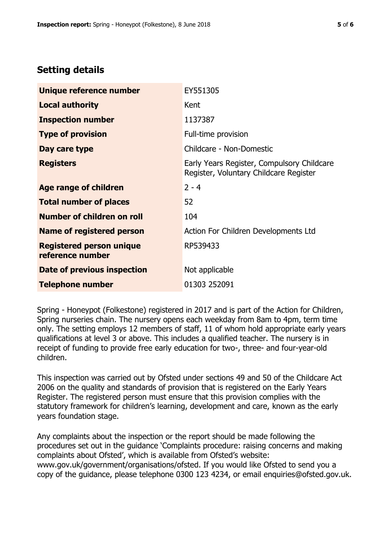# **Setting details**

| Unique reference number                             | EY551305                                                                             |
|-----------------------------------------------------|--------------------------------------------------------------------------------------|
| <b>Local authority</b>                              | Kent                                                                                 |
| <b>Inspection number</b>                            | 1137387                                                                              |
| <b>Type of provision</b>                            | Full-time provision                                                                  |
| Day care type                                       | Childcare - Non-Domestic                                                             |
| <b>Registers</b>                                    | Early Years Register, Compulsory Childcare<br>Register, Voluntary Childcare Register |
| Age range of children                               | $2 - 4$                                                                              |
| <b>Total number of places</b>                       | 52                                                                                   |
| Number of children on roll                          | 104                                                                                  |
| Name of registered person                           | Action For Children Developments Ltd                                                 |
| <b>Registered person unique</b><br>reference number | RP539433                                                                             |
| <b>Date of previous inspection</b>                  | Not applicable                                                                       |
| <b>Telephone number</b>                             | 01303 252091                                                                         |

Spring - Honeypot (Folkestone) registered in 2017 and is part of the Action for Children, Spring nurseries chain. The nursery opens each weekday from 8am to 4pm, term time only. The setting employs 12 members of staff, 11 of whom hold appropriate early years qualifications at level 3 or above. This includes a qualified teacher. The nursery is in receipt of funding to provide free early education for two-, three- and four-year-old children.

This inspection was carried out by Ofsted under sections 49 and 50 of the Childcare Act 2006 on the quality and standards of provision that is registered on the Early Years Register. The registered person must ensure that this provision complies with the statutory framework for children's learning, development and care, known as the early years foundation stage.

Any complaints about the inspection or the report should be made following the procedures set out in the guidance 'Complaints procedure: raising concerns and making complaints about Ofsted', which is available from Ofsted's website: www.gov.uk/government/organisations/ofsted. If you would like Ofsted to send you a copy of the guidance, please telephone 0300 123 4234, or email enquiries@ofsted.gov.uk.